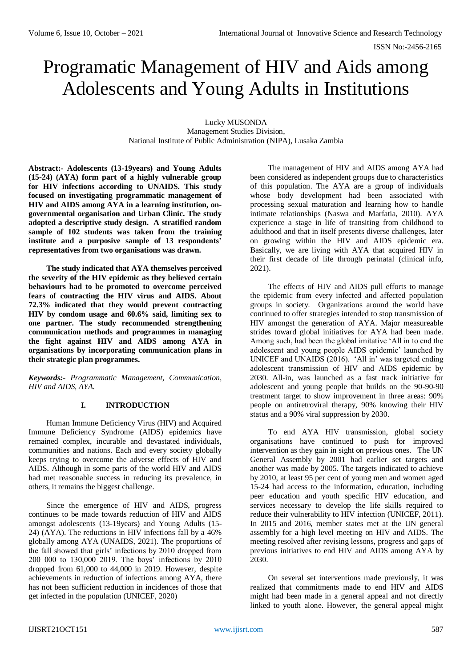# Programatic Management of HIV and Aids among Adolescents and Young Adults in Institutions

Lucky MUSONDA Management Studies Division, National Institute of Public Administration (NIPA), Lusaka Zambia

**Abstract:- Adolescents (13-19years) and Young Adults (15-24) (AYA) form part of a highly vulnerable group for HIV infections according to UNAIDS. This study focused on investigating programmatic management of HIV and AIDS among AYA in a learning institution, ongovernmental organisation and Urban Clinic. The study adopted a descriptive study design. A stratified random sample of 102 students was taken from the training institute and a purposive sample of 13 respondents' representatives from two organisations was drawn.**

**The study indicated that AYA themselves perceived the severity of the HIV epidemic as they believed certain behaviours had to be promoted to overcome perceived fears of contracting the HIV virus and AIDS. About 72.3% indicated that they would prevent contracting HIV by condom usage and 60.6% said, limiting sex to one partner. The study recommended strengthening communication methods and programmes in managing the fight against HIV and AIDS among AYA in organisations by incorporating communication plans in their strategic plan programmes.**

*Keywords:- Programmatic Management, Communication, HIV and AIDS, AYA.*

# **I. INTRODUCTION**

Human Immune Deficiency Virus (HIV) and Acquired Immune Deficiency Syndrome (AIDS) epidemics have remained complex, incurable and devastated individuals, communities and nations. Each and every society globally keeps trying to overcome the adverse effects of HIV and AIDS. Although in some parts of the world HIV and AIDS had met reasonable success in reducing its prevalence, in others, it remains the biggest challenge.

Since the emergence of HIV and AIDS, progress continues to be made towards reduction of HIV and AIDS amongst adolescents (13-19years) and Young Adults (15- 24) (AYA). The reductions in HIV infections fall by a 46% globally among AYA (UNAIDS, 2021). The proportions of the fall showed that girls' infections by 2010 dropped from 200 000 to 130,000 2019. The boys' infections by 2010 dropped from 61,000 to 44,000 in 2019. However, despite achievements in reduction of infections among AYA, there has not been sufficient reduction in incidences of those that get infected in the population (UNICEF, 2020)

The management of HIV and AIDS among AYA had been considered as independent groups due to characteristics of this population. The AYA are a group of individuals whose body development had been associated with processing sexual maturation and learning how to handle intimate relationships (Naswa and Marfatia, 2010). AYA experience a stage in life of transiting from childhood to adulthood and that in itself presents diverse challenges, later on growing within the HIV and AIDS epidemic era. Basically, we are living with AYA that acquired HIV in their first decade of life through perinatal (clinical info, 2021).

The effects of HIV and AIDS pull efforts to manage the epidemic from every infected and affected population groups in society. Organizations around the world have continued to offer strategies intended to stop transmission of HIV amongst the generation of AYA. Major measureable strides toward global initiatives for AYA had been made. Among such, had been the global imitative 'All in to end the adolescent and young people AIDS epidemic' launched by UNICEF and UNAIDS (2016). 'All in' was targeted ending adolescent transmission of HIV and AIDS epidemic by 2030. All-in, was launched as a fast track initiative for adolescent and young people that builds on the 90-90-90 treatment target to show improvement in three areas: 90% people on antiretroviral therapy, 90% knowing their HIV status and a 90% viral suppression by 2030.

To end AYA HIV transmission, global society organisations have continued to push for improved intervention as they gain in sight on previous ones. The UN General Assembly by 2001 had earlier set targets and another was made by 2005. The targets indicated to achieve by 2010, at least 95 per cent of young men and women aged 15-24 had access to the information, education, including peer education and youth specific HIV education, and services necessary to develop the life skills required to reduce their vulnerability to HIV infection (UNICEF, 2011). In 2015 and 2016, member states met at the UN general assembly for a high level meeting on HIV and AIDS. The meeting resolved after revising lessons, progress and gaps of previous initiatives to end HIV and AIDS among AYA by 2030.

On several set interventions made previously, it was realized that commitments made to end HIV and AIDS might had been made in a general appeal and not directly linked to youth alone. However, the general appeal might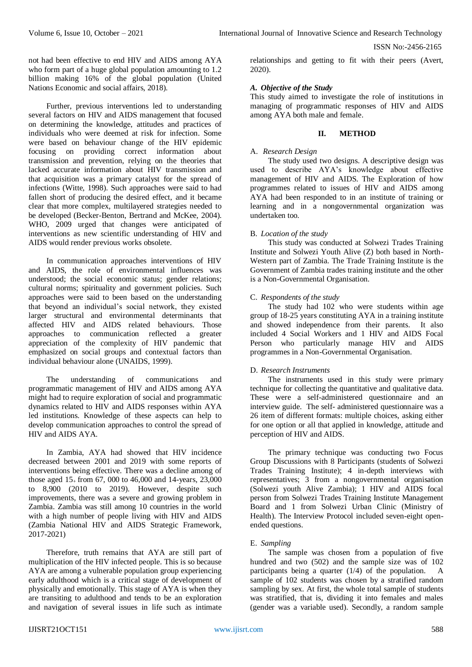not had been effective to end HIV and AIDS among AYA who form part of a huge global population amounting to 1.2 billion making 16% of the global population (United Nations Economic and social affairs, 2018).

Further, previous interventions led to understanding several factors on HIV and AIDS management that focused on determining the knowledge, attitudes and practices of individuals who were deemed at risk for infection. Some were based on behaviour change of the HIV epidemic focusing on providing correct information about transmission and prevention, relying on the theories that lacked accurate information about HIV transmission and that acquisition was a primary catalyst for the spread of infections (Witte, 1998). Such approaches were said to had fallen short of producing the desired effect, and it became clear that more complex, multilayered strategies needed to be developed (Becker-Benton, Bertrand and McKee, 2004). WHO, 2009 urged that changes were anticipated of interventions as new scientific understanding of HIV and AIDS would render previous works obsolete.

In communication approaches interventions of HIV and AIDS, the role of environmental influences was understood; the social economic status; gender relations; cultural norms; spirituality and government policies. Such approaches were said to been based on the understanding that beyond an individual's social network, they existed larger structural and environmental determinants that affected HIV and AIDS related behaviours. Those approaches to communication reflected a greater appreciation of the complexity of HIV pandemic that emphasized on social groups and contextual factors than individual behaviour alone (UNAIDS, 1999).

The understanding of communications and programmatic management of HIV and AIDS among AYA might had to require exploration of social and programmatic dynamics related to HIV and AIDS responses within AYA led institutions. Knowledge of these aspects can help to develop communication approaches to control the spread of HIV and AIDS AYA.

In Zambia, AYA had showed that HIV incidence decreased between 2001 and 2019 with some reports of interventions being effective. There was a decline among of those aged  $15_{+}$  from 67, 000 to 46,000 and 14-years, 23,000 to 8,900 (2010 to 2019). However, despite such improvements, there was a severe and growing problem in Zambia. Zambia was still among 10 countries in the world with a high number of people living with HIV and AIDS (Zambia National HIV and AIDS Strategic Framework, 2017-2021)

Therefore, truth remains that AYA are still part of multiplication of the HIV infected people. This is so because AYA are among a vulnerable population group experiencing early adulthood which is a critical stage of development of physically and emotionally. This stage of AYA is when they are transiting to adulthood and tends to be an exploration and navigation of several issues in life such as intimate

relationships and getting to fit with their peers (Avert, 2020).

# *A. Objective of the Study*

This study aimed to investigate the role of institutions in managing of programmatic responses of HIV and AIDS among AYA both male and female.

## **II. METHOD**

## A. *Research Design*

The study used two designs. A descriptive design was used to describe AYA's knowledge about effective management of HIV and AIDS. The Exploration of how programmes related to issues of HIV and AIDS among AYA had been responded to in an institute of training or learning and in a nongovernmental organization was undertaken too.

# B. *Location of the study*

This study was conducted at Solwezi Trades Training Institute and Solwezi Youth Alive (Z) both based in North-Western part of Zambia. The Trade Training Institute is the Government of Zambia trades training institute and the other is a Non-Governmental Organisation.

## C. *Respondents of the study*

The study had 102 who were students within age group of 18-25 years constituting AYA in a training institute and showed independence from their parents. It also included 4 Social Workers and 1 HIV and AIDS Focal Person who particularly manage HIV and AIDS programmes in a Non-Governmental Organisation.

# D. *Research Instruments*

The instruments used in this study were primary technique for collecting the quantitative and qualitative data. These were a self-administered questionnaire and an interview guide. The self- administered questionnaire was a 26 item of different formats: multiple choices, asking either for one option or all that applied in knowledge, attitude and perception of HIV and AIDS.

The primary technique was conducting two Focus Group Discussions with 8 Participants (students of Solwezi Trades Training Institute); 4 in-depth interviews with representatives; 3 from a nongovernmental organisation (Solwezi youth Alive Zambia); 1 HIV and AIDS focal person from Solwezi Trades Training Institute Management Board and 1 from Solwezi Urban Clinic (Ministry of Health). The Interview Protocol included seven-eight openended questions.

# E. *Sampling*

The sample was chosen from a population of five hundred and two (502) and the sample size was of 102 participants being a quarter (1/4) of the population. A sample of 102 students was chosen by a stratified random sampling by sex. At first, the whole total sample of students was stratified, that is, dividing it into females and males (gender was a variable used). Secondly, a random sample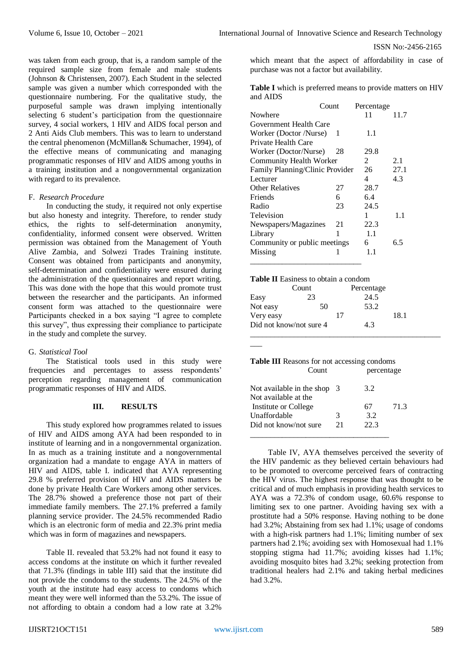was taken from each group, that is, a random sample of the required sample size from female and male students (Johnson & Christensen, 2007). Each Student in the selected sample was given a number which corresponded with the questionnaire numbering. For the qualitative study, the purposeful sample was drawn implying intentionally selecting 6 student's participation from the questionnaire survey, 4 social workers, 1 HIV and AIDS focal person and 2 Anti Aids Club members. This was to learn to understand the central phenomenon (McMillan& Schumacher, 1994), of the effective means of communicating and managing programmatic responses of HIV and AIDS among youths in a training institution and a nongovernmental organization with regard to its prevalence.

## F. *Research Procedure*

In conducting the study, it required not only expertise but also honesty and integrity. Therefore, to render study ethics, the rights to self-determination anonymity, confidentiality, informed consent were observed. Written permission was obtained from the Management of Youth Alive Zambia, and Solwezi Trades Training institute. Consent was obtained from participants and anonymity, self-determination and confidentiality were ensured during the administration of the questionnaires and report writing. This was done with the hope that this would promote trust between the researcher and the participants. An informed consent form was attached to the questionnaire were Participants checked in a box saying "I agree to complete this survey", thus expressing their compliance to participate in the study and complete the survey.

### G. *Statistical Tool*

The Statistical tools used in this study were frequencies and percentages to assess respondents' perception regarding management of communication programmatic responses of HIV and AIDS.

## **III. RESULTS**

This study explored how programmes related to issues of HIV and AIDS among AYA had been responded to in institute of learning and in a nongovernmental organization. In as much as a training institute and a nongovernmental organization had a mandate to engage AYA in matters of HIV and AIDS, table I. indicated that AYA representing 29.8 % preferred provision of HIV and AIDS matters be done by private Health Care Workers among other services. The 28.7% showed a preference those not part of their immediate family members. The 27.1% preferred a family planning service provider. The 24.5% recommended Radio which is an electronic form of media and 22.3% print media which was in form of magazines and newspapers.

Table II. revealed that 53.2% had not found it easy to access condoms at the institute on which it further revealed that 71.3% (findings in table III) said that the institute did not provide the condoms to the students. The 24.5% of the youth at the institute had easy access to condoms which meant they were well informed than the 53.2%. The issue of not affording to obtain a condom had a low rate at 3.2%

which meant that the aspect of affordability in case of purchase was not a factor but availability.

**Table I** which is preferred means to provide matters on HIV and AIDS

|                                 | Count |    | Percentage |      |
|---------------------------------|-------|----|------------|------|
| Nowhere                         |       |    | 11         | 11.7 |
| Government Health Care          |       |    |            |      |
| Worker (Doctor /Nurse)          |       | -1 | 1.1        |      |
| Private Health Care             |       |    |            |      |
| Worker (Doctor/Nurse)           |       | 28 | 29.8       |      |
| <b>Community Health Worker</b>  |       |    | 2          | 2.1  |
| Family Planning/Clinic Provider |       |    | 26         | 27.1 |
| Lecturer                        |       |    | 4          | 4.3  |
| <b>Other Relatives</b>          |       | 27 | 28.7       |      |
| Friends                         |       | 6  | 6.4        |      |
| Radio                           |       | 23 | 24.5       |      |
| Television                      |       |    | 1          | 1.1  |
| Newspapers/Magazines            |       | 21 | 22.3       |      |
| Library                         |       | 1  | 1.1        |      |
| Community or public meetings    |       | 6  | 6.5        |      |
| Missing                         |       | 1  | 1.1        |      |
|                                 |       |    |            |      |

| <b>Table II</b> Easiness to obtain a condom |            |
|---------------------------------------------|------------|
| Count                                       | Percentage |

|                         | ~~~ |    | T CLOCHINAL |      |  |
|-------------------------|-----|----|-------------|------|--|
| Easy                    | 23  |    | 24.5        |      |  |
| Not easy                | 50  |    | 53.2        |      |  |
| Very easy               |     | 17 |             | 18.1 |  |
| Did not know/not sure 4 |     |    | 4.3         |      |  |
|                         |     |    |             |      |  |

| <b>Table III</b> Reasons for not accessing condoms |            |
|----------------------------------------------------|------------|
| Count                                              | percentage |

 $\overline{\phantom{a}}$ 

| Not available in the shop 3<br>Not available at the |    | 3.2       |      |
|-----------------------------------------------------|----|-----------|------|
| Institute or College<br>Unaffordable                | 3  | 67<br>3.2 | 71.3 |
| Did not know/not sure                               | 21 | 22.3      |      |
|                                                     |    |           |      |

Table IV, AYA themselves perceived the severity of the HIV pandemic as they believed certain behaviours had to be promoted to overcome perceived fears of contracting the HIV virus. The highest response that was thought to be critical and of much emphasis in providing health services to AYA was a 72.3% of condom usage, 60.6% response to limiting sex to one partner. Avoiding having sex with a prostitute had a 50% response. Having nothing to be done had 3.2%; Abstaining from sex had 1.1%; usage of condoms with a high-risk partners had 1.1%; limiting number of sex partners had 2.1%; avoiding sex with Homosexual had 1.1% stopping stigma had 11.7%; avoiding kisses had 1.1%; avoiding mosquito bites had 3.2%; seeking protection from traditional healers had 2.1% and taking herbal medicines had 3.2%.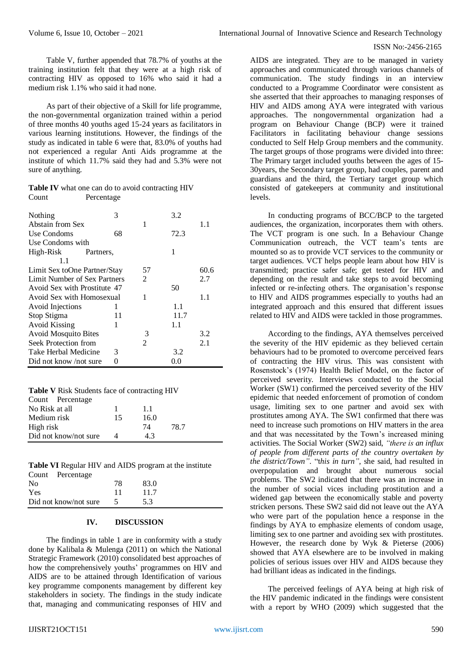Table V, further appended that 78.7% of youths at the training institution felt that they were at a high risk of contracting HIV as opposed to 16% who said it had a medium risk 1.1% who said it had none.

As part of their objective of a Skill for life programme, the non-governmental organization trained within a period of three months 40 youths aged 15-24 years as facilitators in various learning institutions. However, the findings of the study as indicated in table 6 were that, 83.0% of youths had not experienced a regular Anti Aids programme at the institute of which 11.7% said they had and 5.3% were not sure of anything.

|       | <b>Table IV</b> what one can do to avoid contracting HIV |
|-------|----------------------------------------------------------|
| Count | Percentage                                               |

| Nothing                      | 3  |                | 3.2   |      |
|------------------------------|----|----------------|-------|------|
| Abstain from Sex             |    | 1              |       | 1.1  |
| Use Condoms                  | 68 |                | 72.3  |      |
| Use Condoms with             |    |                |       |      |
| High-Risk Partners,          |    |                | 1     |      |
| 1.1                          |    |                |       |      |
| Limit Sex toOne Partner/Stay |    | 57             |       | 60.6 |
| Limit Number of Sex Partners |    | $\mathfrak{D}$ |       | 2.7  |
| Avoid Sex with Prostitute 47 |    |                | 50    |      |
| Avoid Sex with Homosexual    |    | 1              |       | 1.1  |
| Avoid Injections             | 1  |                | 1.1   |      |
| Stop Stigma                  | 11 |                | 11.7  |      |
| Avoid Kissing                | 1  |                | 1.1   |      |
| <b>Avoid Mosquito Bites</b>  |    | 3              |       | 3.2  |
| Seek Protection from         |    | 2              |       | 2.1  |
| Take Herbal Medicine         | 3  |                | 3.2   |      |
| Did not know /not sure       | 0  |                | (1.0) |      |

| Table V Risk Students face of contracting HIV |  |
|-----------------------------------------------|--|
|-----------------------------------------------|--|

| Count Percentage      |    |      |      |  |
|-----------------------|----|------|------|--|
| No Risk at all        |    | 1.1  |      |  |
| Medium risk           | 15 | 16.0 |      |  |
| High risk             |    | 74   | 78.7 |  |
| Did not know/not sure |    | 43   |      |  |
|                       |    |      |      |  |

**Table VI** Regular HIV and AIDS program at the institute

| Count Percentage      |    |      |  |
|-----------------------|----|------|--|
| N <sub>0</sub>        | 78 | 83.0 |  |
| Yes                   | 11 | 11.7 |  |
| Did not know/not sure |    | 5.3  |  |

# **IV. DISCUSSION**

The findings in table 1 are in conformity with a study done by Kalibala & Mulenga (2011) on which the National Strategic Framework (2010) consolidated best approaches of how the comprehensively youths' programmes on HIV and AIDS are to be attained through Identification of various key programme components management by different key stakeholders in society. The findings in the study indicate that, managing and communicating responses of HIV and AIDS are integrated. They are to be managed in variety approaches and communicated through various channels of communication. The study findings in an interview conducted to a Programme Coordinator were consistent as she asserted that their approaches to managing responses of HIV and AIDS among AYA were integrated with various approaches. The nongovernmental organization had a program on Behaviour Change (BCP) were it trained Facilitators in facilitating behaviour change sessions conducted to Self Help Group members and the community. The target groups of those programs were divided into three: The Primary target included youths between the ages of 15- 30years, the Secondary target group, had couples, parent and guardians and the third, the Tertiary target group which consisted of gatekeepers at community and institutional levels.

In conducting programs of BCC/BCP to the targeted audiences, the organization, incorporates them with others. The VCT program is one such. In a Behaviour Change Communication outreach, the VCT team's tents are mounted so as to provide VCT services to the community or target audiences. VCT helps people learn about how HIV is transmitted; practice safer safe; get tested for HIV and depending on the result and take steps to avoid becoming infected or re-infecting others. The organisation's response to HIV and AIDS programmes especially to youths had an integrated approach and this ensured that different issues related to HIV and AIDS were tackled in those programmes.

According to the findings, AYA themselves perceived the severity of the HIV epidemic as they believed certain behaviours had to be promoted to overcome perceived fears of contracting the HIV virus. This was consistent with Rosenstock's (1974) Health Belief Model, on the factor of perceived severity. Interviews conducted to the Social Worker (SW1) confirmed the perceived severity of the HIV epidemic that needed enforcement of promotion of condom usage, limiting sex to one partner and avoid sex with prostitutes among AYA. The SW1 confirmed that there was need to increase such promotions on HIV matters in the area and that was necessitated by the Town's increased mining activities. The Social Worker (SW2) said, *"there is an influx of people from different parts of the country overtaken by the district/Town"*. "t*his in turn",* she said, had resulted in overpopulation and brought about numerous social problems. The SW2 indicated that there was an increase in the number of social vices including prostitution and a widened gap between the economically stable and poverty stricken persons. These SW2 said did not leave out the AYA who were part of the population hence a response in the findings by AYA to emphasize elements of condom usage, limiting sex to one partner and avoiding sex with prostitutes. However, the research done by Wyk & Pieterse (2006) showed that AYA elsewhere are to be involved in making policies of serious issues over HIV and AIDS because they had brilliant ideas as indicated in the findings.

The perceived feelings of AYA being at high risk of the HIV pandemic indicated in the findings were consistent with a report by WHO (2009) which suggested that the